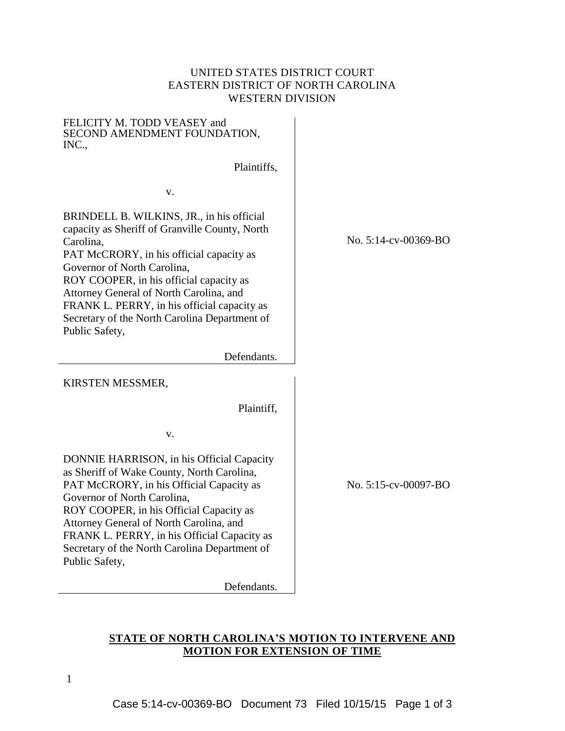## UNITED STATES DISTRICT COURT EASTERN DISTRICT OF NORTH CAROLINA WESTERN DIVISION

FELICITY M. TODD VEASEY and SECOND AMENDMENT FOUNDATION, INC.,

Plaintiffs,

v.

BRINDELL B. WILKINS, JR., in his official capacity as Sheriff of Granville County, North Carolina, PAT McCRORY, in his official capacity as Governor of North Carolina, ROY COOPER, in his official capacity as Attorney General of North Carolina, and FRANK L. PERRY, in his official capacity as Secretary of the North Carolina Department of Public Safety,

Defendants.

KIRSTEN MESSMER,

Plaintiff,

v.

DONNIE HARRISON, in his Official Capacity as Sheriff of Wake County, North Carolina, PAT McCRORY, in his Official Capacity as Governor of North Carolina, ROY COOPER, in his Official Capacity as Attorney General of North Carolina, and FRANK L. PERRY, in his Official Capacity as Secretary of the North Carolina Department of Public Safety,

Defendants.

No. 5:14-cv-00369-BO

No. 5:15-cv-00097-BO

## **STATE OF NORTH CAROLINA'S MOTION TO INTERVENE AND MOTION FOR EXTENSION OF TIME**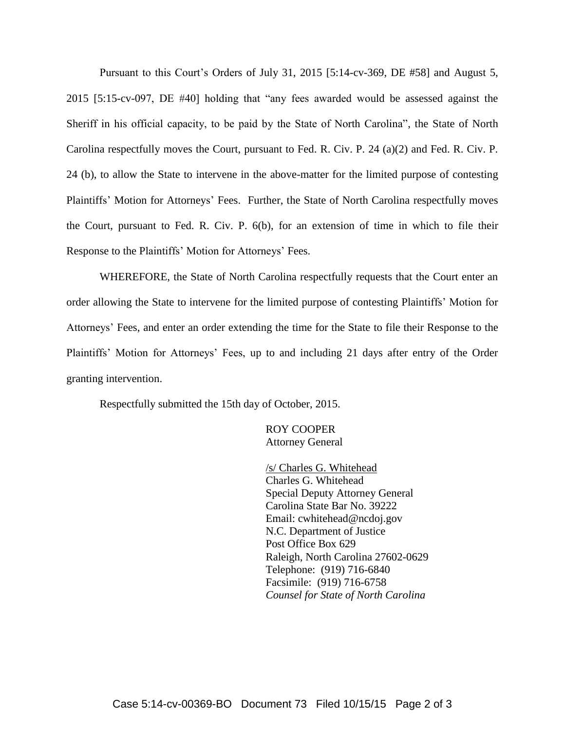Pursuant to this Court's Orders of July 31, 2015 [5:14-cv-369, DE #58] and August 5, 2015 [5:15-cv-097, DE #40] holding that "any fees awarded would be assessed against the Sheriff in his official capacity, to be paid by the State of North Carolina", the State of North Carolina respectfully moves the Court, pursuant to Fed. R. Civ. P. 24 (a)(2) and Fed. R. Civ. P. 24 (b), to allow the State to intervene in the above-matter for the limited purpose of contesting Plaintiffs' Motion for Attorneys' Fees. Further, the State of North Carolina respectfully moves the Court, pursuant to Fed. R. Civ. P. 6(b), for an extension of time in which to file their Response to the Plaintiffs' Motion for Attorneys' Fees.

WHEREFORE, the State of North Carolina respectfully requests that the Court enter an order allowing the State to intervene for the limited purpose of contesting Plaintiffs' Motion for Attorneys' Fees, and enter an order extending the time for the State to file their Response to the Plaintiffs' Motion for Attorneys' Fees, up to and including 21 days after entry of the Order granting intervention.

Respectfully submitted the 15th day of October, 2015.

ROY COOPER Attorney General

/s/ Charles G. Whitehead Charles G. Whitehead Special Deputy Attorney General Carolina State Bar No. 39222 Email: cwhitehead@ncdoj.gov N.C. Department of Justice Post Office Box 629 Raleigh, North Carolina 27602-0629 Telephone: (919) 716-6840 Facsimile: (919) 716-6758 *Counsel for State of North Carolina*